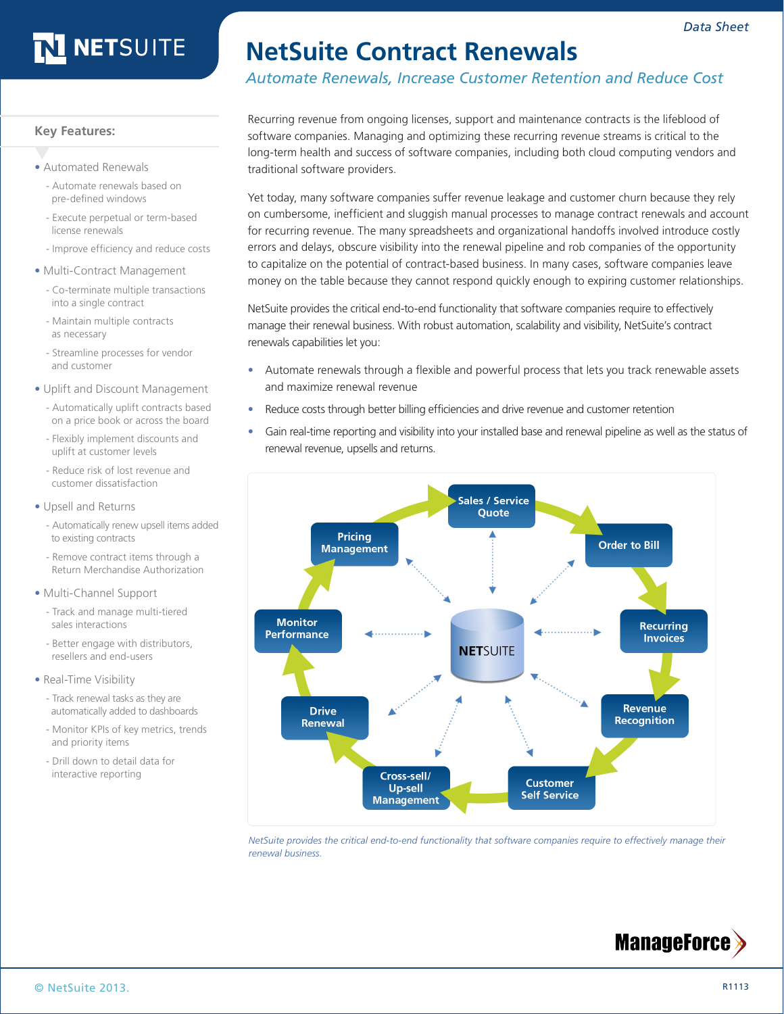# **NETSUITE**

# **NetSuite Contract Renewals**

*Automate Renewals, Increase Customer Retention and Reduce Cost*

**Key Features:**

- **•** Automated Renewals
	- Automate renewals based on pre-defined windows
	- Execute perpetual or term-based license renewals
	- Improve efficiency and reduce costs
- **•** Multi-Contract Management
	- Co-terminate multiple transactions into a single contract
	- Maintain multiple contracts as necessary
	- Streamline processes for vendor and customer
- **•** Uplift and Discount Management
	- Automatically uplift contracts based on a price book or across the board
	- Flexibly implement discounts and uplift at customer levels
	- Reduce risk of lost revenue and customer dissatisfaction
- **•** Upsell and Returns
	- Automatically renew upsell items added to existing contracts
	- Remove contract items through a Return Merchandise Authorization
- **•** Multi-Channel Support
	- Track and manage multi-tiered sales interactions
	- Better engage with distributors, resellers and end-users
- **•** Real-Time Visibility
	- Track renewal tasks as they are automatically added to dashboards
	- Monitor KPIs of key metrics, trends and priority items
	- Drill down to detail data for interactive reporting

Recurring revenue from ongoing licenses, support and maintenance contracts is the lifeblood of software companies. Managing and optimizing these recurring revenue streams is critical to the long-term health and success of software companies, including both cloud computing vendors and traditional software providers.

Yet today, many software companies suffer revenue leakage and customer churn because they rely on cumbersome, inefficient and sluggish manual processes to manage contract renewals and account for recurring revenue. The many spreadsheets and organizational handoffs involved introduce costly errors and delays, obscure visibility into the renewal pipeline and rob companies of the opportunity to capitalize on the potential of contract-based business. In many cases, software companies leave money on the table because they cannot respond quickly enough to expiring customer relationships.

NetSuite provides the critical end-to-end functionality that software companies require to effectively manage their renewal business. With robust automation, scalability and visibility, NetSuite's contract renewals capabilities let you:

- **•** Automate renewals through a flexible and powerful process that lets you track renewable assets and maximize renewal revenue
- **•** Reduce costs through better billing efficiencies and drive revenue and customer retention
- **•** Gain real-time reporting and visibility into your installed base and renewal pipeline as well as the status of renewal revenue, upsells and returns.



*NetSuite provides the critical end-to-end functionality that software companies require to effectively manage their renewal business.*

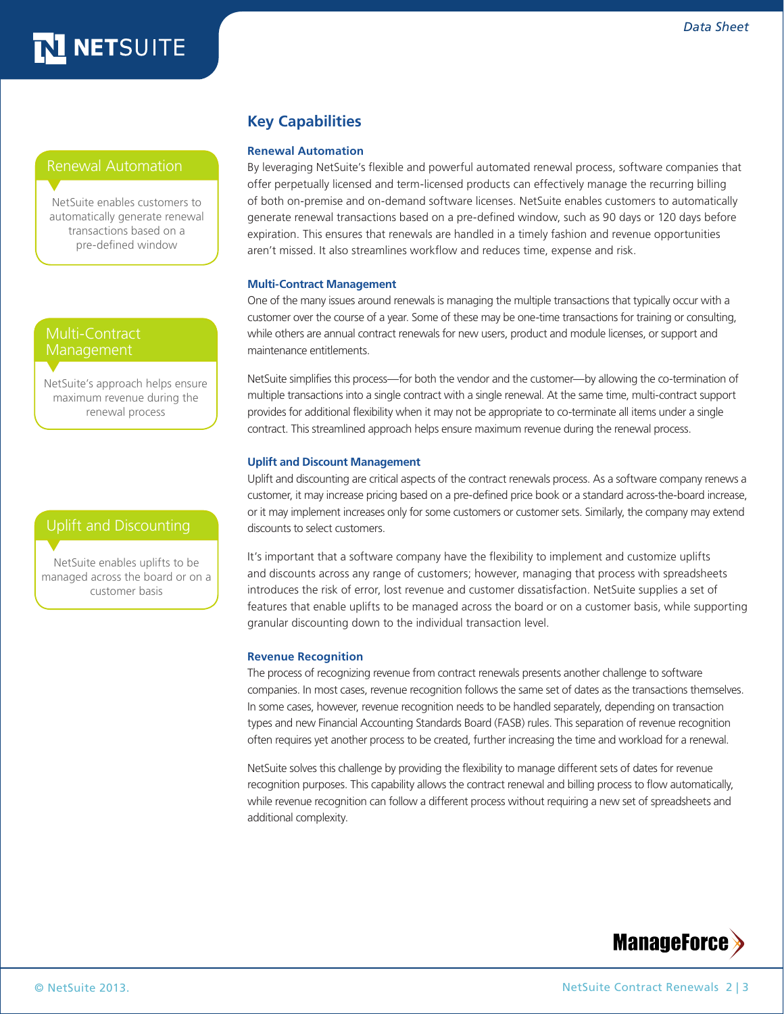# NETSUITE

### Renewal Automation

NetSuite enables customers to automatically generate renewal transactions based on a pre-defined window

### Multi-Contract Management

NetSuite's approach helps ensure maximum revenue during the renewal process

### Uplift and Discounting

NetSuite enables uplifts to be managed across the board or on a customer basis

### **Key Capabilities**

#### **Renewal Automation**

By leveraging NetSuite's flexible and powerful automated renewal process, software companies that offer perpetually licensed and term-licensed products can effectively manage the recurring billing of both on-premise and on-demand software licenses. NetSuite enables customers to automatically generate renewal transactions based on a pre-defined window, such as 90 days or 120 days before expiration. This ensures that renewals are handled in a timely fashion and revenue opportunities aren't missed. It also streamlines workflow and reduces time, expense and risk.

#### **Multi-Contract Management**

One of the many issues around renewals is managing the multiple transactions that typically occur with a customer over the course of a year. Some of these may be one-time transactions for training or consulting, while others are annual contract renewals for new users, product and module licenses, or support and maintenance entitlements.

NetSuite simplifies this process—for both the vendor and the customer—by allowing the co-termination of multiple transactions into a single contract with a single renewal. At the same time, multi-contract support provides for additional flexibility when it may not be appropriate to co-terminate all items under a single contract. This streamlined approach helps ensure maximum revenue during the renewal process.

#### **Uplift and Discount Management**

Uplift and discounting are critical aspects of the contract renewals process. As a software company renews a customer, it may increase pricing based on a pre-defined price book or a standard across-the-board increase, or it may implement increases only for some customers or customer sets. Similarly, the company may extend discounts to select customers.

It's important that a software company have the flexibility to implement and customize uplifts and discounts across any range of customers; however, managing that process with spreadsheets introduces the risk of error, lost revenue and customer dissatisfaction. NetSuite supplies a set of features that enable uplifts to be managed across the board or on a customer basis, while supporting granular discounting down to the individual transaction level.

#### **Revenue Recognition**

The process of recognizing revenue from contract renewals presents another challenge to software companies. In most cases, revenue recognition follows the same set of dates as the transactions themselves. In some cases, however, revenue recognition needs to be handled separately, depending on transaction types and new Financial Accounting Standards Board (FASB) rules. This separation of revenue recognition often requires yet another process to be created, further increasing the time and workload for a renewal.

NetSuite solves this challenge by providing the flexibility to manage different sets of dates for revenue recognition purposes. This capability allows the contract renewal and billing process to flow automatically, while revenue recognition can follow a different process without requiring a new set of spreadsheets and additional complexity.